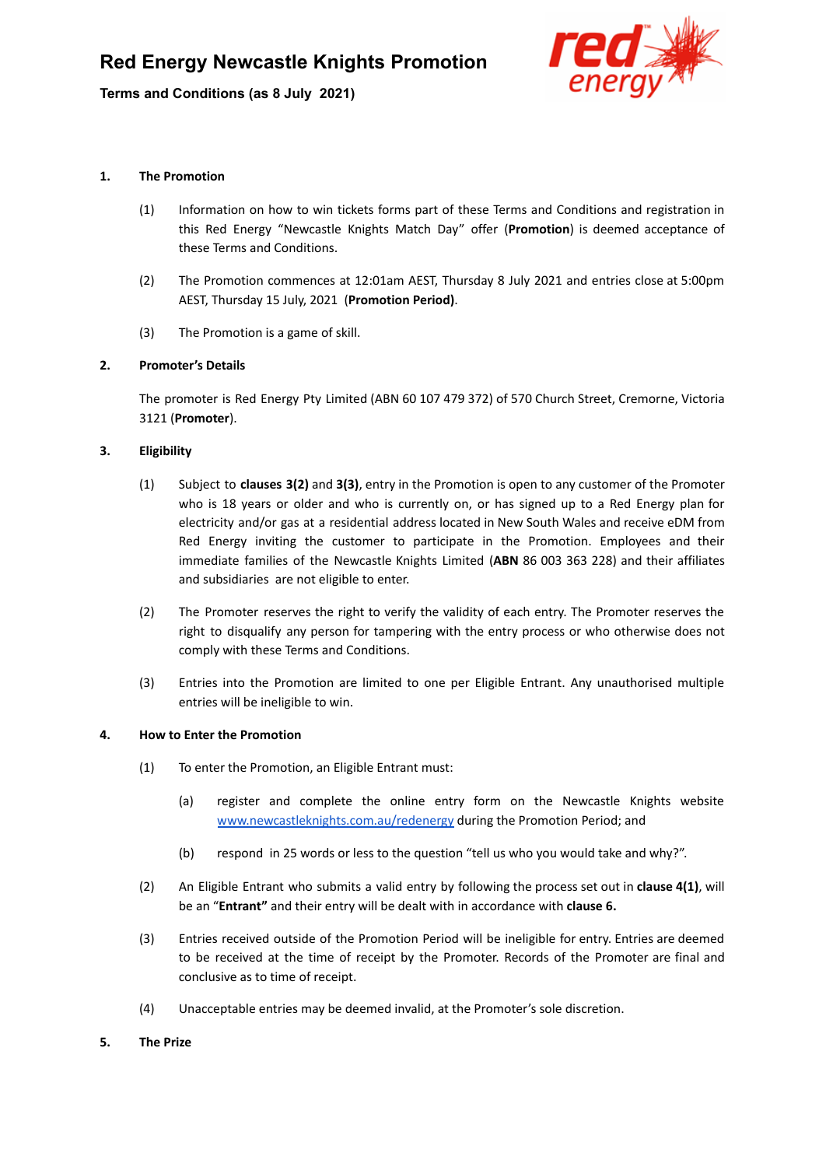**Terms and Conditions (as 8 July 2021)**



## **1. The Promotion**

- (1) Information on how to win tickets forms part of these Terms and Conditions and registration in this Red Energy "Newcastle Knights Match Day" offer (**Promotion**) is deemed acceptance of these Terms and Conditions.
- (2) The Promotion commences at 12:01am AEST, Thursday 8 July 2021 and entries close at 5:00pm AEST, Thursday 15 July, 2021 (**Promotion Period)**.
- (3) The Promotion is a game of skill.

## **2. Promoter's Details**

The promoter is Red Energy Pty Limited (ABN 60 107 479 372) of 570 Church Street, Cremorne, Victoria 3121 (**Promoter**).

## **3. Eligibility**

- (1) Subject to **clauses 3(2)** and **3(3)**, entry in the Promotion is open to any customer of the Promoter who is 18 years or older and who is currently on, or has signed up to a Red Energy plan for electricity and/or gas at a residential address located in New South Wales and receive eDM from Red Energy inviting the customer to participate in the Promotion. Employees and their immediate families of the Newcastle Knights Limited (**ABN** 86 003 363 228) and their affiliates and subsidiaries are not eligible to enter.
- (2) The Promoter reserves the right to verify the validity of each entry. The Promoter reserves the right to disqualify any person for tampering with the entry process or who otherwise does not comply with these Terms and Conditions.
- (3) Entries into the Promotion are limited to one per Eligible Entrant. Any unauthorised multiple entries will be ineligible to win.

## **4. How to Enter the Promotion**

- (1) To enter the Promotion, an Eligible Entrant must:
	- (a) register and complete the online entry form on the Newcastle Knights website [www.newcastleknights.com.au/redenergy](http://www.newcastleknights.com.au/redenergy) during the Promotion Period; and
	- (b) respond in 25 words or less to the question "tell us who you would take and why?".
- (2) An Eligible Entrant who submits a valid entry by following the process set out in **clause 4(1)**, will be an "**Entrant"** and their entry will be dealt with in accordance with **clause 6.**
- (3) Entries received outside of the Promotion Period will be ineligible for entry. Entries are deemed to be received at the time of receipt by the Promoter. Records of the Promoter are final and conclusive as to time of receipt.
- (4) Unacceptable entries may be deemed invalid, at the Promoter's sole discretion.
- **5. The Prize**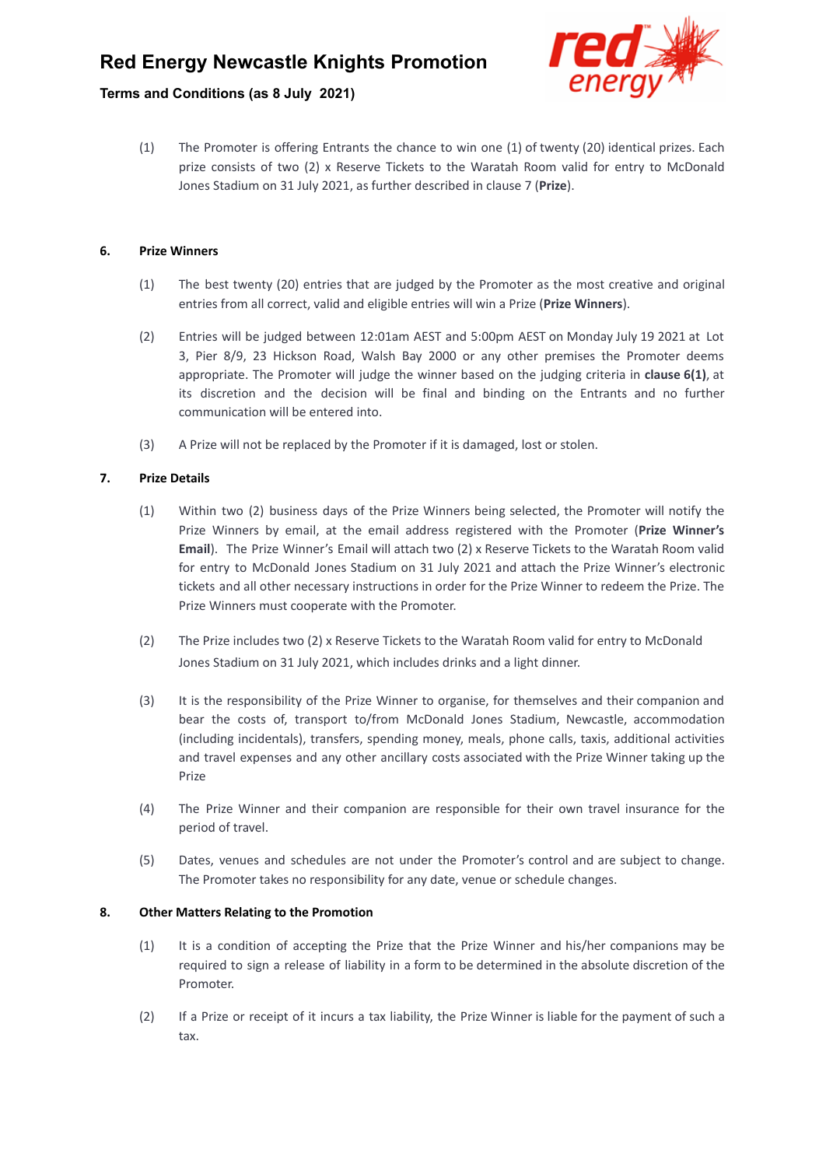# **Red Energy Newcastle Knights Promotion**

## **Terms and Conditions (as 8 July 2021)**



(1) The Promoter is offering Entrants the chance to win one (1) of twenty (20) identical prizes. Each prize consists of two (2) x Reserve Tickets to the Waratah Room valid for entry to McDonald Jones Stadium on 31 July 2021, as further described in clause 7 (**Prize**).

## **6. Prize Winners**

- (1) The best twenty (20) entries that are judged by the Promoter as the most creative and original entries from all correct, valid and eligible entries will win a Prize (**Prize Winners**).
- (2) Entries will be judged between 12:01am AEST and 5:00pm AEST on Monday July 19 2021 at Lot 3, Pier 8/9, 23 Hickson Road, Walsh Bay 2000 or any other premises the Promoter deems appropriate. The Promoter will judge the winner based on the judging criteria in **clause 6(1)**, at its discretion and the decision will be final and binding on the Entrants and no further communication will be entered into.
- (3) A Prize will not be replaced by the Promoter if it is damaged, lost or stolen.

## **7. Prize Details**

- (1) Within two (2) business days of the Prize Winners being selected, the Promoter will notify the Prize Winners by email, at the email address registered with the Promoter (**Prize Winner's Email**). The Prize Winner's Email will attach two (2) x Reserve Tickets to the Waratah Room valid for entry to McDonald Jones Stadium on 31 July 2021 and attach the Prize Winner's electronic tickets and all other necessary instructions in order for the Prize Winner to redeem the Prize. The Prize Winners must cooperate with the Promoter.
- (2) The Prize includes two (2) x Reserve Tickets to the Waratah Room valid for entry to McDonald Jones Stadium on 31 July 2021, which includes drinks and a light dinner.
- (3) It is the responsibility of the Prize Winner to organise, for themselves and their companion and bear the costs of, transport to/from McDonald Jones Stadium, Newcastle, accommodation (including incidentals), transfers, spending money, meals, phone calls, taxis, additional activities and travel expenses and any other ancillary costs associated with the Prize Winner taking up the Prize
- (4) The Prize Winner and their companion are responsible for their own travel insurance for the period of travel.
- (5) Dates, venues and schedules are not under the Promoter's control and are subject to change. The Promoter takes no responsibility for any date, venue or schedule changes.

#### **8. Other Matters Relating to the Promotion**

- (1) It is a condition of accepting the Prize that the Prize Winner and his/her companions may be required to sign a release of liability in a form to be determined in the absolute discretion of the **Promoter**
- (2) If a Prize or receipt of it incurs a tax liability, the Prize Winner is liable for the payment of such a tax.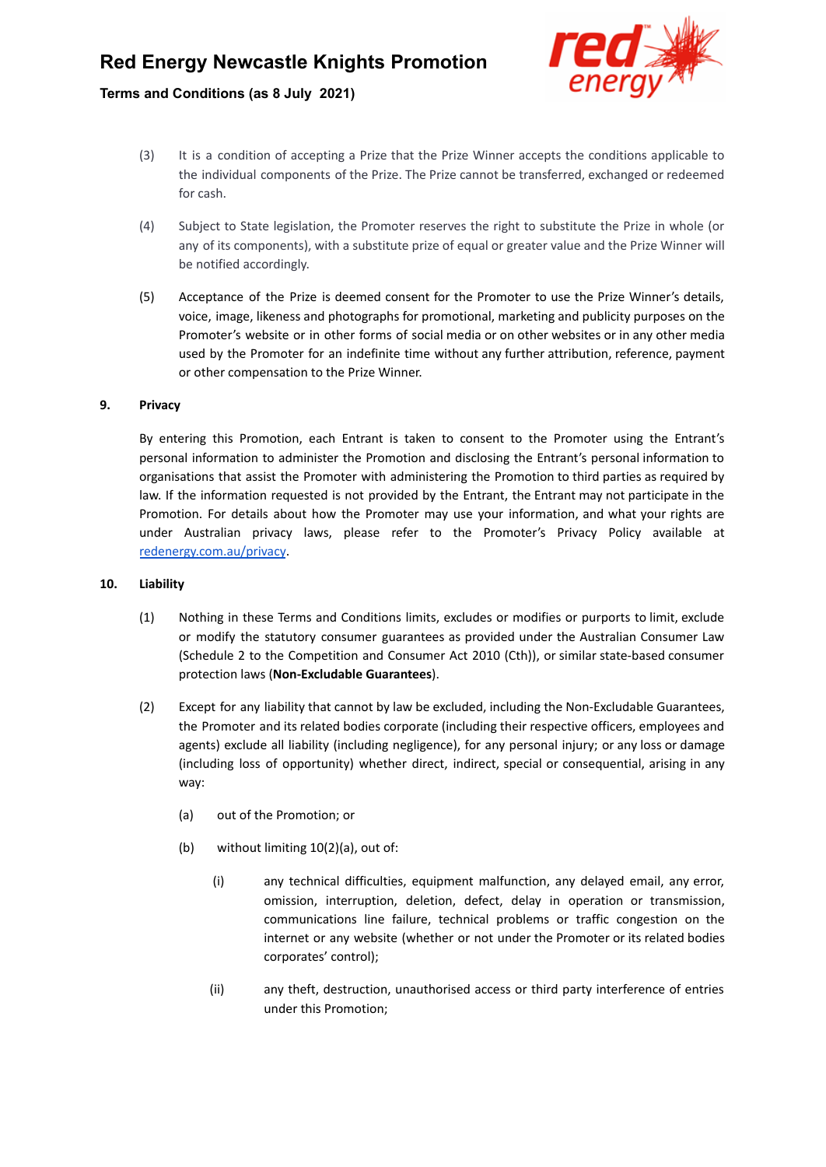# **Terms and Conditions (as 8 July 2021)**



- (3) It is a condition of accepting a Prize that the Prize Winner accepts the conditions applicable to the individual components of the Prize. The Prize cannot be transferred, exchanged or redeemed for cash.
- (4) Subject to State legislation, the Promoter reserves the right to substitute the Prize in whole (or any of its components), with a substitute prize of equal or greater value and the Prize Winner will be notified accordingly.
- (5) Acceptance of the Prize is deemed consent for the Promoter to use the Prize Winner's details, voice, image, likeness and photographs for promotional, marketing and publicity purposes on the Promoter's website or in other forms of social media or on other websites or in any other media used by the Promoter for an indefinite time without any further attribution, reference, payment or other compensation to the Prize Winner.

#### **9. Privacy**

By entering this Promotion, each Entrant is taken to consent to the Promoter using the Entrant's personal information to administer the Promotion and disclosing the Entrant's personal information to organisations that assist the Promoter with administering the Promotion to third parties as required by law. If the information requested is not provided by the Entrant, the Entrant may not participate in the Promotion. For details about how the Promoter may use your information, and what your rights are under Australian privacy laws, please refer to the Promoter's Privacy Policy available at [redenergy.com.au/privacy](https://www.redenergy.com.au/privacy).

#### **10. Liability**

- (1) Nothing in these Terms and Conditions limits, excludes or modifies or purports to limit, exclude or modify the statutory consumer guarantees as provided under the Australian Consumer Law (Schedule 2 to the Competition and Consumer Act 2010 (Cth)), or similar state-based consumer protection laws (**Non-Excludable Guarantees**).
- (2) Except for any liability that cannot by law be excluded, including the Non-Excludable Guarantees, the Promoter and its related bodies corporate (including their respective officers, employees and agents) exclude all liability (including negligence), for any personal injury; or any loss or damage (including loss of opportunity) whether direct, indirect, special or consequential, arising in any way:
	- (a) out of the Promotion; or
	- (b) without limiting 10(2)(a), out of:
		- (i) any technical difficulties, equipment malfunction, any delayed email, any error, omission, interruption, deletion, defect, delay in operation or transmission, communications line failure, technical problems or traffic congestion on the internet or any website (whether or not under the Promoter or its related bodies corporates' control);
		- (ii) any theft, destruction, unauthorised access or third party interference of entries under this Promotion;